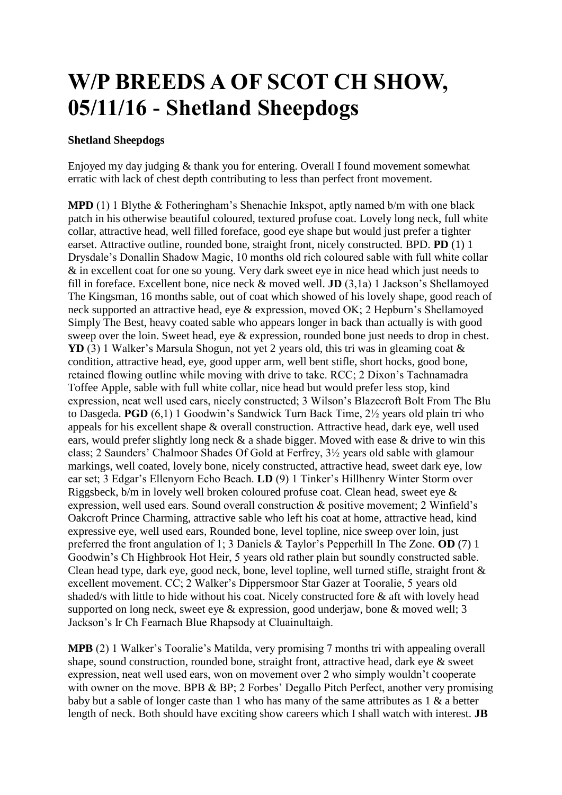## **W/P BREEDS A OF SCOT CH SHOW, 05/11/16 - Shetland Sheepdogs**

## **Shetland Sheepdogs**

Enjoyed my day judging & thank you for entering. Overall I found movement somewhat erratic with lack of chest depth contributing to less than perfect front movement.

**MPD** (1) 1 Blythe & Fotheringham's Shenachie Inkspot, aptly named b/m with one black patch in his otherwise beautiful coloured, textured profuse coat. Lovely long neck, full white collar, attractive head, well filled foreface, good eye shape but would just prefer a tighter earset. Attractive outline, rounded bone, straight front, nicely constructed. BPD. **PD** (1) 1 Drysdale's Donallin Shadow Magic, 10 months old rich coloured sable with full white collar & in excellent coat for one so young. Very dark sweet eye in nice head which just needs to fill in foreface. Excellent bone, nice neck & moved well. **JD** (3,1a) 1 Jackson's Shellamoyed The Kingsman, 16 months sable, out of coat which showed of his lovely shape, good reach of neck supported an attractive head, eye & expression, moved OK; 2 Hepburn's Shellamoyed Simply The Best, heavy coated sable who appears longer in back than actually is with good sweep over the loin. Sweet head, eye & expression, rounded bone just needs to drop in chest. **YD** (3) 1 Walker's Marsula Shogun, not yet 2 years old, this tri was in gleaming coat & condition, attractive head, eye, good upper arm, well bent stifle, short hocks, good bone, retained flowing outline while moving with drive to take. RCC; 2 Dixon's Tachnamadra Toffee Apple, sable with full white collar, nice head but would prefer less stop, kind expression, neat well used ears, nicely constructed; 3 Wilson's Blazecroft Bolt From The Blu to Dasgeda. **PGD** (6,1) 1 Goodwin's Sandwick Turn Back Time, 2½ years old plain tri who appeals for his excellent shape & overall construction. Attractive head, dark eye, well used ears, would prefer slightly long neck & a shade bigger. Moved with ease & drive to win this class; 2 Saunders' Chalmoor Shades Of Gold at Ferfrey, 3½ years old sable with glamour markings, well coated, lovely bone, nicely constructed, attractive head, sweet dark eye, low ear set; 3 Edgar's Ellenyorn Echo Beach. **LD** (9) 1 Tinker's Hillhenry Winter Storm over Riggsbeck, b/m in lovely well broken coloured profuse coat. Clean head, sweet eye & expression, well used ears. Sound overall construction & positive movement; 2 Winfield's Oakcroft Prince Charming, attractive sable who left his coat at home, attractive head, kind expressive eye, well used ears, Rounded bone, level topline, nice sweep over loin, just preferred the front angulation of 1; 3 Daniels & Taylor's Pepperhill In The Zone. **OD** (7) 1 Goodwin's Ch Highbrook Hot Heir, 5 years old rather plain but soundly constructed sable. Clean head type, dark eye, good neck, bone, level topline, well turned stifle, straight front & excellent movement. CC; 2 Walker's Dippersmoor Star Gazer at Tooralie, 5 years old shaded/s with little to hide without his coat. Nicely constructed fore & aft with lovely head supported on long neck, sweet eye & expression, good underjaw, bone & moved well; 3 Jackson's Ir Ch Fearnach Blue Rhapsody at Cluainultaigh.

**MPB** (2) 1 Walker's Tooralie's Matilda, very promising 7 months tri with appealing overall shape, sound construction, rounded bone, straight front, attractive head, dark eye & sweet expression, neat well used ears, won on movement over 2 who simply wouldn't cooperate with owner on the move. BPB & BP; 2 Forbes' Degallo Pitch Perfect, another very promising baby but a sable of longer caste than 1 who has many of the same attributes as 1 & a better length of neck. Both should have exciting show careers which I shall watch with interest. **JB**